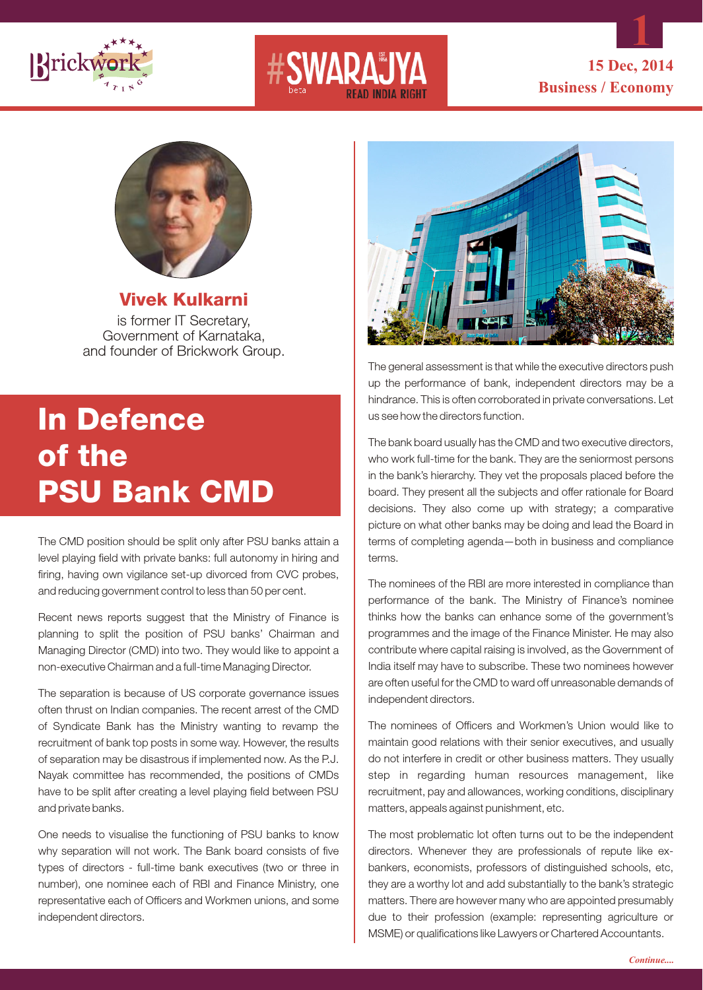





**Vivek Kulkarni**  is former IT Secretary, Government of Karnataka, and founder of Brickwork Group.

## **In Defence of the PSU Bank CMD**

The CMD position should be split only after PSU banks attain a level playing field with private banks: full autonomy in hiring and firing, having own vigilance set-up divorced from CVC probes, and reducing government control to less than 50 per cent.

Recent news reports suggest that the Ministry of Finance is planning to split the position of PSU banks' Chairman and Managing Director (CMD) into two. They would like to appoint a non-executive Chairman and a full-time Managing Director.

The separation is because of US corporate governance issues often thrust on Indian companies. The recent arrest of the CMD of Syndicate Bank has the Ministry wanting to revamp the recruitment of bank top posts in some way. However, the results of separation may be disastrous if implemented now. As the P.J. Nayak committee has recommended, the positions of CMDs have to be split after creating a level playing field between PSU and private banks.

One needs to visualise the functioning of PSU banks to know why separation will not work. The Bank board consists of five types of directors - full-time bank executives (two or three in number), one nominee each of RBI and Finance Ministry, one representative each of Officers and Workmen unions, and some independent directors.



The general assessment is that while the executive directors push up the performance of bank, independent directors may be a hindrance. This is often corroborated in private conversations. Let us see how the directors function.

The bank board usually has the CMD and two executive directors, who work full-time for the bank. They are the seniormost persons in the bank's hierarchy. They vet the proposals placed before the board. They present all the subjects and offer rationale for Board decisions. They also come up with strategy; a comparative picture on what other banks may be doing and lead the Board in terms of completing agenda—both in business and compliance terms.

The nominees of the RBI are more interested in compliance than performance of the bank. The Ministry of Finance's nominee thinks how the banks can enhance some of the government's programmes and the image of the Finance Minister. He may also contribute where capital raising is involved, as the Government of India itself may have to subscribe. These two nominees however are often useful for the CMD to ward off unreasonable demands of independent directors.

The nominees of Officers and Workmen's Union would like to maintain good relations with their senior executives, and usually do not interfere in credit or other business matters. They usually step in regarding human resources management, like recruitment, pay and allowances, working conditions, disciplinary matters, appeals against punishment, etc.

The most problematic lot often turns out to be the independent directors. Whenever they are professionals of repute like exbankers, economists, professors of distinguished schools, etc, they are a worthy lot and add substantially to the bank's strategic matters. There are however many who are appointed presumably due to their profession (example: representing agriculture or MSME) or qualifications like Lawyers or Chartered Accountants.